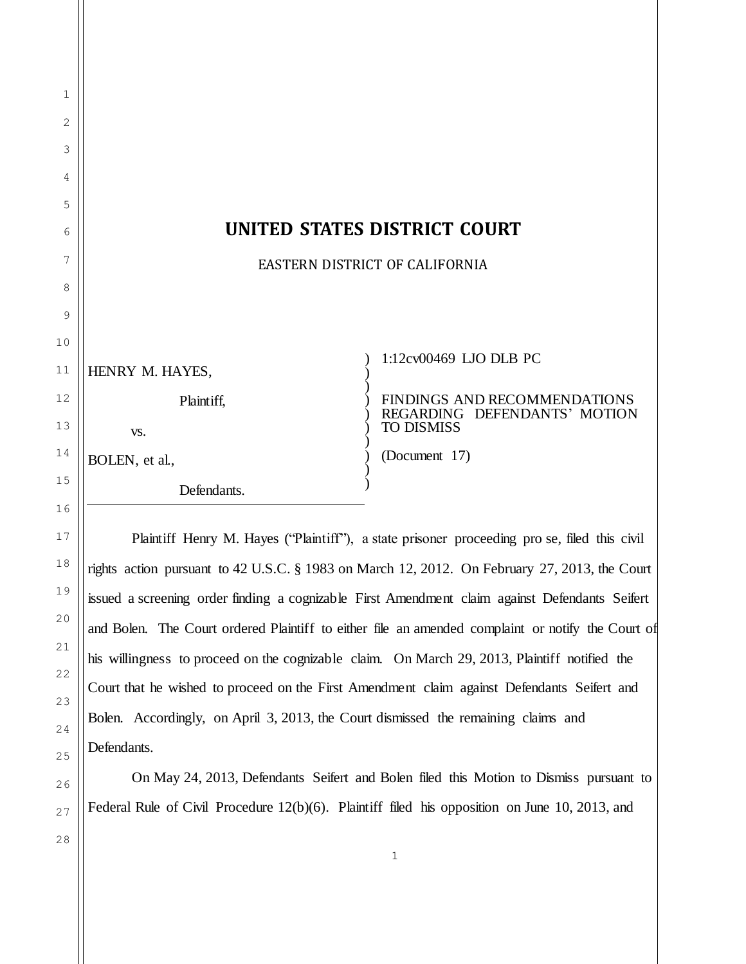| 1              |                                |                                                   |  |
|----------------|--------------------------------|---------------------------------------------------|--|
| $\overline{2}$ |                                |                                                   |  |
| 3              |                                |                                                   |  |
| 4              |                                |                                                   |  |
| 5              |                                |                                                   |  |
| 6              | UNITED STATES DISTRICT COURT   |                                                   |  |
| 7              | EASTERN DISTRICT OF CALIFORNIA |                                                   |  |
| 8              |                                |                                                   |  |
| 9              |                                |                                                   |  |
| 10             |                                |                                                   |  |
| 11             | HENRY M. HAYES,                | 1:12cv00469 LJO DLB PC                            |  |
| 12             | Plaintiff,                     | FINDINGS AND RECOMMENDATIONS                      |  |
| 13             | VS.                            | REGARDING DEFENDANTS' MOTION<br><b>TO DISMISS</b> |  |
| 14             | BOLEN, et al.,                 | (Document 17)                                     |  |
| 15             | Defendants.                    |                                                   |  |

Plaintiff Henry M. Hayes ("Plaintiff"), a state prisoner proceeding pro se, filed this civil rights action pursuant to 42 U.S.C. § 1983 on March 12, 2012. On February 27, 2013, the Court issued a screening order finding a cognizable First Amendment claim against Defendants Seifert and Bolen. The Court ordered Plaintiff to either file an amended complaint or notify the Court of his willingness to proceed on the cognizable claim. On March 29, 2013, Plaintiff notified the Court that he wished to proceed on the First Amendment claim against Defendants Seifert and Bolen. Accordingly, on April 3, 2013, the Court dismissed the remaining claims and Defendants.

On May 24, 2013, Defendants Seifert and Bolen filed this Motion to Dismiss pursuant to Federal Rule of Civil Procedure 12(b)(6). Plaintiff filed his opposition on June 10, 2013, and

28

16

17

18

19

20

21

22

23

24

25

26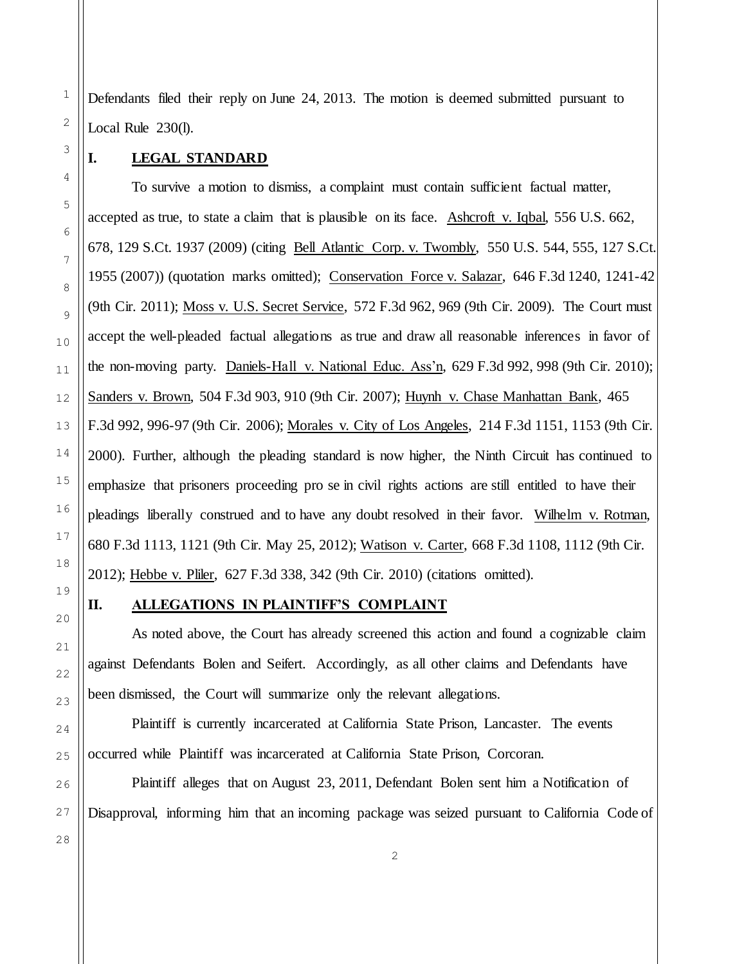Defendants filed their reply on June 24, 2013. The motion is deemed submitted pursuant to Local Rule 230(l).

## **I. LEGAL STANDARD**

To survive a motion to dismiss, a complaint must contain sufficient factual matter, accepted as true, to state a claim that is plausible on its face. Ashcroft v. Iqbal, 556 U.S. 662, 678, 129 S.Ct. 1937 (2009) (citing Bell Atlantic Corp. v. Twombly, 550 U.S. 544, 555, 127 S.Ct. 1955 (2007)) (quotation marks omitted); Conservation Force v. Salazar, 646 F.3d 1240, 1241-42 (9th Cir. 2011); Moss v. U.S. Secret Service, 572 F.3d 962, 969 (9th Cir. 2009). The Court must accept the well-pleaded factual allegations as true and draw all reasonable inferences in favor of the non-moving party. Daniels-Hall v. National Educ. Ass'n, 629 F.3d 992, 998 (9th Cir. 2010); Sanders v. Brown, 504 F.3d 903, 910 (9th Cir. 2007); Huynh v. Chase Manhattan Bank, 465 F.3d 992, 996-97 (9th Cir. 2006); Morales v. City of Los Angeles, 214 F.3d 1151, 1153 (9th Cir. 2000). Further, although the pleading standard is now higher, the Ninth Circuit has continued to emphasize that prisoners proceeding pro se in civil rights actions are still entitled to have their pleadings liberally construed and to have any doubt resolved in their favor. Wilhelm v. Rotman, 680 F.3d 1113, 1121 (9th Cir. May 25, 2012); Watison v. Carter, 668 F.3d 1108, 1112 (9th Cir. 2012); Hebbe v. Pliler, 627 F.3d 338, 342 (9th Cir. 2010) (citations omitted).

19

1

2

3

4

5

6

7

8

9

10

11

12

13

14

15

16

17

18

## **II. ALLEGATIONS IN PLAINTIFF'S COMPLAINT**

As noted above, the Court has already screened this action and found a cognizable claim against Defendants Bolen and Seifert. Accordingly, as all other claims and Defendants have been dismissed, the Court will summarize only the relevant allegations.

Plaintiff is currently incarcerated at California State Prison, Lancaster. The events occurred while Plaintiff was incarcerated at California State Prison, Corcoran.

Plaintiff alleges that on August 23, 2011, Defendant Bolen sent him a Notification of Disapproval, informing him that an incoming package was seized pursuant to California Code of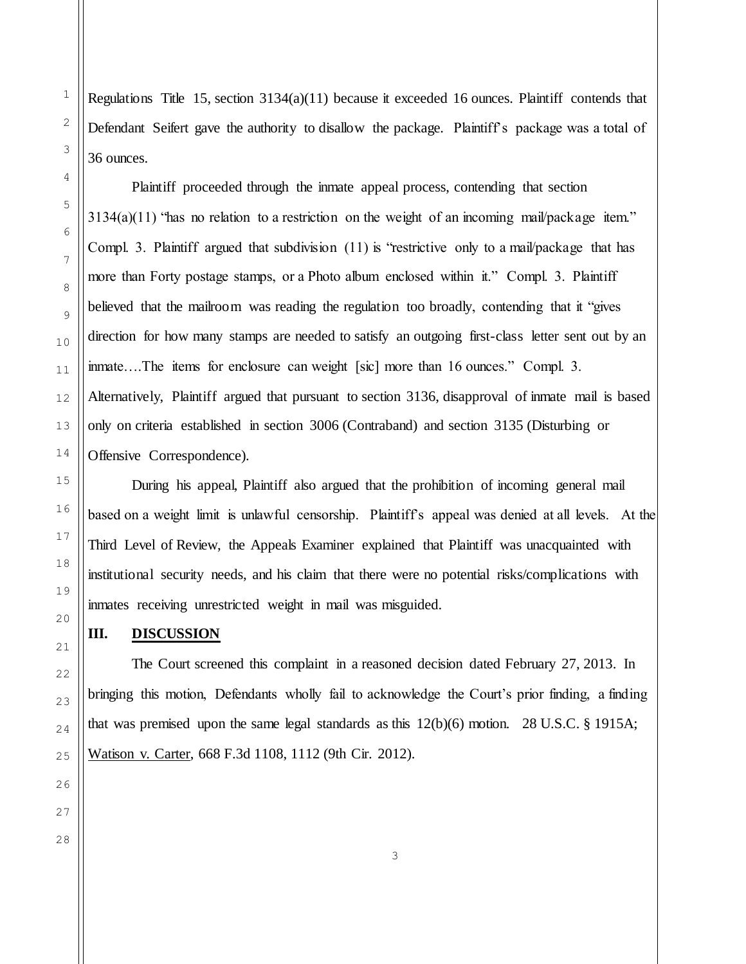1

2

Regulations Title 15, section  $3134(a)(11)$  because it exceeded 16 ounces. Plaintiff contends that Defendant Seifert gave the authority to disallow the package. Plaintiff's package was a total of

Plaintiff proceeded through the inmate appeal process, contending that section  $3134(a)(11)$  "has no relation to a restriction on the weight of an incoming mail/package item." Compl. 3. Plaintiff argued that subdivision  $(11)$  is "restrictive only to a mail/package that has more than Forty postage stamps, or a Photo album enclosed within it." Compl. 3. Plaintiff believed that the mailroom was reading the regulation too broadly, contending that it "gives direction for how many stamps are needed to satisfy an outgoing first-class letter sent out by an inmate….The items for enclosure can weight [sic] more than 16 ounces." Compl. 3. Alternatively, Plaintiff argued that pursuant to section 3136, disapproval of inmate mail is based only on criteria established in section 3006 (Contraband) and section 3135 (Disturbing or Offensive Correspondence).

During his appeal, Plaintiff also argued that the prohibition of incoming general mail based on a weight limit is unlawful censorship. Plaintiff's appeal was denied at all levels. At the Third Level of Review, the Appeals Examiner explained that Plaintiff was unacquainted with institutional security needs, and his claim that there were no potential risks/complications with inmates receiving unrestricted weight in mail was misguided.

## **III. DISCUSSION**

The Court screened this complaint in a reasoned decision dated February 27, 2013. In bringing this motion, Defendants wholly fail to acknowledge the Court's prior finding, a finding that was premised upon the same legal standards as this 12(b)(6) motion. 28 U.S.C. § 1915A; Watison v. Carter, 668 F.3d 1108, 1112 (9th Cir. 2012).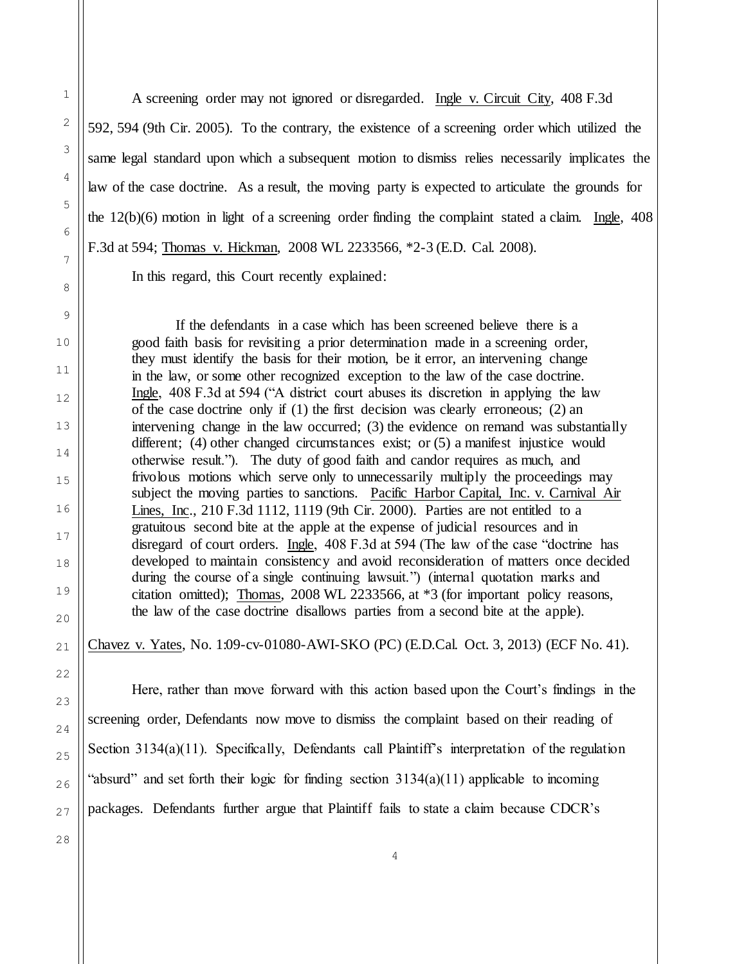A screening order may not ignored or disregarded. Ingle v. Circuit City, 408 F.3d 592, 594 (9th Cir. 2005). To the contrary, the existence of a screening order which utilized the same legal standard upon which a subsequent motion to dismiss relies necessarily implicates the law of the case doctrine. As a result, the moving party is expected to articulate the grounds for the 12(b)(6) motion in light of a screening order finding the complaint stated a claim. Ingle, 408 F.3d at 594; Thomas v. Hickman, 2008 WL 2233566, \*2-3 (E.D. Cal. 2008).

In this regard, this Court recently explained:

If the defendants in a case which has been screened believe there is a good faith basis for revisiting a prior determination made in a screening order, they must identify the basis for their motion, be it error, an intervening change in the law, or some other recognized exception to the law of the case doctrine. Ingle, 408 F.3d at 594 ("A district court abuses its discretion in applying the law of the case doctrine only if (1) the first decision was clearly erroneous; (2) an intervening change in the law occurred; (3) the evidence on remand was substantially different; (4) other changed circumstances exist; or (5) a manifest injustice would otherwise result."). The duty of good faith and candor requires as much, and frivolous motions which serve only to unnecessarily multiply the proceedings may subject the moving parties to sanctions. Pacific Harbor Capital, Inc. v. Carnival Air Lines, Inc., 210 F.3d 1112, 1119 (9th Cir. 2000). Parties are not entitled to a gratuitous second bite at the apple at the expense of judicial resources and in disregard of court orders. Ingle, 408 F.3d at 594 (The law of the case "doctrine has developed to maintain consistency and avoid reconsideration of matters once decided during the course of a single continuing lawsuit.") (internal quotation marks and citation omitted); Thomas, 2008 WL 2233566, at \*3 (for important policy reasons, the law of the case doctrine disallows parties from a second bite at the apple).

Chavez v. Yates, No. 1:09-cv-01080-AWI-SKO (PC) (E.D.Cal. Oct. 3, 2013) (ECF No. 41).

Here, rather than move forward with this action based upon the Court's findings in the screening order, Defendants now move to dismiss the complaint based on their reading of Section 3134(a)(11). Specifically, Defendants call Plaintiff's interpretation of the regulation "absurd" and set forth their logic for finding section  $3134(a)(11)$  applicable to incoming packages. Defendants further argue that Plaintiff fails to state a claim because CDCR's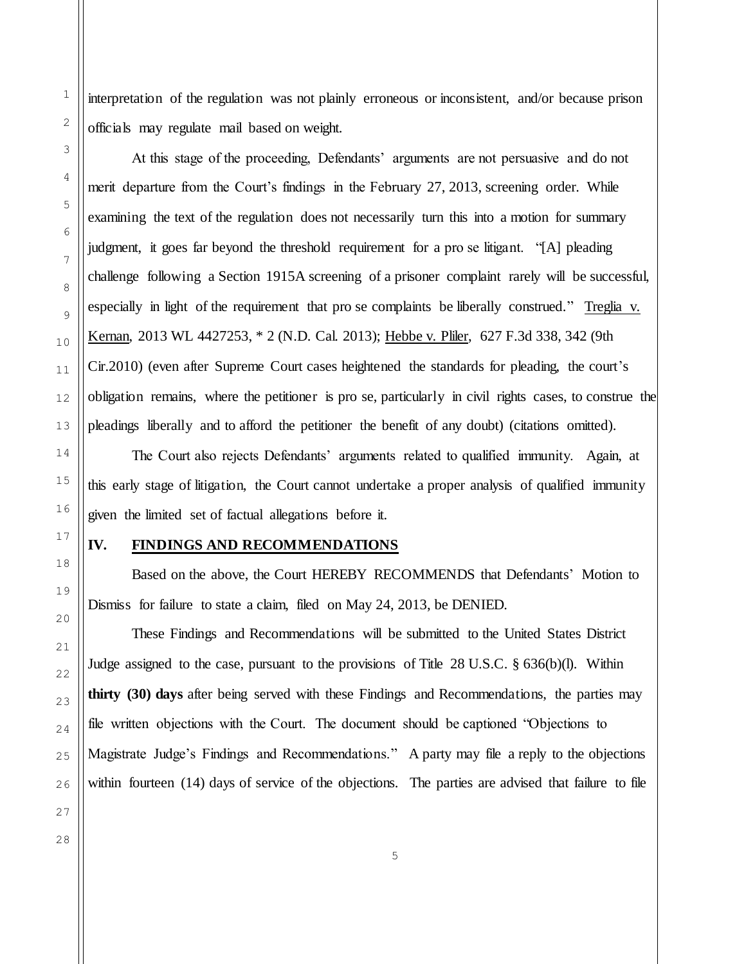interpretation of the regulation was not plainly erroneous or inconsistent, and/or because prison officials may regulate mail based on weight.

At this stage of the proceeding, Defendants' arguments are not persuasive and do not merit departure from the Court's findings in the February 27, 2013, screening order. While examining the text of the regulation does not necessarily turn this into a motion for summary judgment, it goes far beyond the threshold requirement for a pro se litigant. "[A] pleading challenge following a Section 1915A screening of a prisoner complaint rarely will be successful, especially in light of the requirement that pro se complaints be liberally construed." Treglia v. Kernan, 2013 WL 4427253, \* 2 (N.D. Cal. 2013); Hebbe v. Pliler, 627 F.3d 338, 342 (9th Cir.2010) (even after Supreme Court cases heightened the standards for pleading, the court's obligation remains, where the petitioner is pro se, particularly in civil rights cases, to construe the pleadings liberally and to afford the petitioner the benefit of any doubt) (citations omitted).

The Court also rejects Defendants' arguments related to qualified immunity. Again, at this early stage of litigation, the Court cannot undertake a proper analysis of qualified immunity given the limited set of factual allegations before it.

## **IV. FINDINGS AND RECOMMENDATIONS**

Based on the above, the Court HEREBY RECOMMENDS that Defendants' Motion to Dismiss for failure to state a claim, filed on May 24, 2013, be DENIED.

These Findings and Recommendations will be submitted to the United States District Judge assigned to the case, pursuant to the provisions of Title 28 U.S.C.  $\S$  636(b)(l). Within **thirty (30) days** after being served with these Findings and Recommendations, the parties may file written objections with the Court. The document should be captioned "Objections to Magistrate Judge's Findings and Recommendations." A party may file a reply to the objections within fourteen (14) days of service of the objections. The parties are advised that failure to file

1

2

3

4

5

6

7

8

9

10